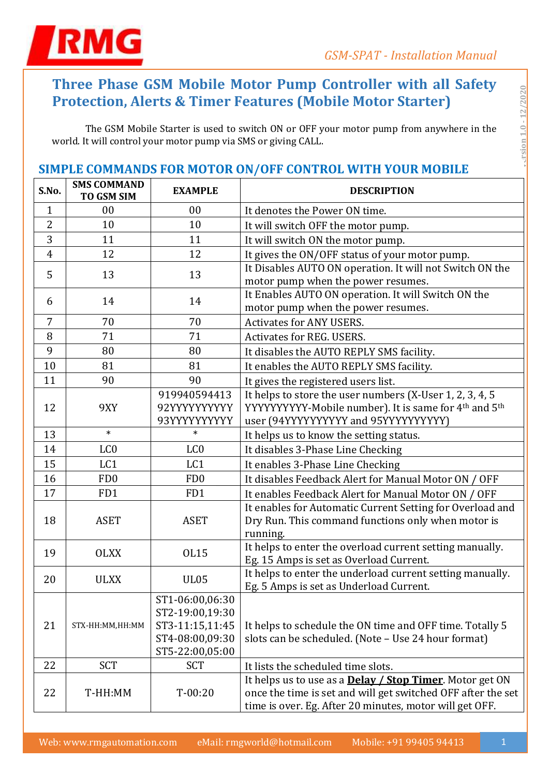

# **Three Phase GSM Mobile Motor Pump Controller with all Safety Protection, Alerts & Timer Features (Mobile Motor Starter)**

The GSM Mobile Starter is used to switch ON or OFF your motor pump from anywhere in the world. It will control your motor pump via SMS or giving CALL.

# **SIMPLE COMMANDS FOR MOTOR ON/OFF CONTROL WITH YOUR MOBILE**

| S.No.          | <b>SMS COMMAND</b><br>TO GSM SIM | <b>EXAMPLE</b>                                                                              | <b>DESCRIPTION</b>                                                                                                                                                                          |
|----------------|----------------------------------|---------------------------------------------------------------------------------------------|---------------------------------------------------------------------------------------------------------------------------------------------------------------------------------------------|
| $\mathbf{1}$   | 00                               | 00                                                                                          | It denotes the Power ON time.                                                                                                                                                               |
| 2              | 10                               | 10                                                                                          | It will switch OFF the motor pump.                                                                                                                                                          |
| 3              | 11                               | 11                                                                                          | It will switch ON the motor pump.                                                                                                                                                           |
| $\overline{4}$ | 12                               | 12                                                                                          | It gives the ON/OFF status of your motor pump.                                                                                                                                              |
| 5              | 13                               | 13                                                                                          | It Disables AUTO ON operation. It will not Switch ON the<br>motor pump when the power resumes.                                                                                              |
| 6              | 14                               | 14                                                                                          | It Enables AUTO ON operation. It will Switch ON the<br>motor pump when the power resumes.                                                                                                   |
| 7              | 70                               | 70                                                                                          | <b>Activates for ANY USERS.</b>                                                                                                                                                             |
| 8              | 71                               | 71                                                                                          | <b>Activates for REG. USERS.</b>                                                                                                                                                            |
| 9              | 80                               | 80                                                                                          | It disables the AUTO REPLY SMS facility.                                                                                                                                                    |
| 10             | 81                               | 81                                                                                          | It enables the AUTO REPLY SMS facility.                                                                                                                                                     |
| 11             | 90                               | 90                                                                                          | It gives the registered users list.                                                                                                                                                         |
| 12             | 9XY                              | 919940594413<br>92YYYYYYYYYY<br>93YYYYYYYYYY                                                | It helps to store the user numbers (X-User 1, 2, 3, 4, 5<br>YYYYYYYYYY-Mobile number). It is same for 4th and 5th<br>user (94YYYYYYYYYY and 95YYYYYYYYYYY)                                  |
| 13             | $\ast$                           | $\ast$                                                                                      | It helps us to know the setting status.                                                                                                                                                     |
| 14             | LC <sub>0</sub>                  | LC <sub>0</sub>                                                                             | It disables 3-Phase Line Checking                                                                                                                                                           |
| 15             | LC1                              | LC1                                                                                         | It enables 3-Phase Line Checking                                                                                                                                                            |
| 16             | F <sub>D</sub> <sub>0</sub>      | FD <sub>0</sub>                                                                             | It disables Feedback Alert for Manual Motor ON / OFF                                                                                                                                        |
| 17             | FD1                              | FD1                                                                                         | It enables Feedback Alert for Manual Motor ON / OFF                                                                                                                                         |
| 18             | <b>ASET</b>                      | <b>ASET</b>                                                                                 | It enables for Automatic Current Setting for Overload and<br>Dry Run. This command functions only when motor is<br>running.                                                                 |
| 19             | <b>OLXX</b>                      | <b>OL15</b>                                                                                 | It helps to enter the overload current setting manually.<br>Eg. 15 Amps is set as Overload Current.                                                                                         |
| 20             | <b>ULXX</b>                      | <b>UL05</b>                                                                                 | It helps to enter the underload current setting manually.<br>Eg. 5 Amps is set as Underload Current.                                                                                        |
| 21             | STX-HH:MM,HH:MM                  | ST1-06:00,06:30<br>ST2-19:00,19:30<br>ST3-11:15,11:45<br>ST4-08:00,09:30<br>ST5-22:00,05:00 | It helps to schedule the ON time and OFF time. Totally 5<br>slots can be scheduled. (Note - Use 24 hour format)                                                                             |
| 22             | <b>SCT</b>                       | <b>SCT</b>                                                                                  | It lists the scheduled time slots.                                                                                                                                                          |
| 22             | T-HH:MM                          | $T-00:20$                                                                                   | It helps us to use as a <b>Delay / Stop Timer</b> . Motor get ON<br>once the time is set and will get switched OFF after the set<br>time is over. Eg. After 20 minutes, motor will get OFF. |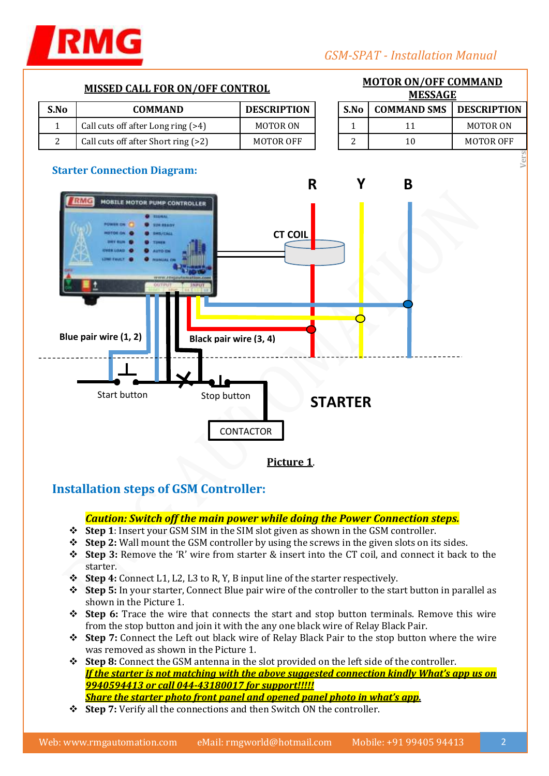

# **MISSED CALL FOR ON/OFF CONTROL MOTOR ON/OFF COMMAND Versi** 1.0 - 1.0 - 1.0 - 1.0 - 1.0 - 1.0 - 1.0 - 1.0 - 1.0 - 1.0 - 1.0 - 1.0 - 1.0 - 1.0 - 1.0 - 1.0 - 1.0 - 1.0 - 1.0 - 1.0 - 1.0 - 1.0 - 1.0 - 1.0 - 1.0 - 1.0 - 1.0 - 1.0 - 1.0 - 1.0 - 1.0 - 1.0 - 1.0 - 1.0 - 1.0 - 1.0 **MESSAGE S.No COMMAND DESCRIPTION S.No COMMAND SMS DESCRIPTION** 1 | Call cuts off after Long ring (>4) | MOTOR ON | | 1 | 11 | MOTOR ON 2 | Call cuts off after Short ring (>2) | MOTOR OFF | 2 | 10 | MOTOR OFF **Starter Connection Diagram: R Y B MOBILE MOTOR PUMP CONTROLLER DMC CT COILBlue pair wire (1, 2) Black pair wire (3, 4)**  Start button Stop button **STARTER** Stop button **CONTACTOR**

**Picture 1**.

# **Installation steps of GSM Controller:**

#### *Caution: Switch off the main power while doing the Power Connection steps.*

- **Step 1**: Insert your GSM SIM in the SIM slot given as shown in the GSM controller.
- **Step 2:** Wall mount the GSM controller by using the screws in the given slots on its sides.
- **Step 3:** Remove the 'R' wire from starter & insert into the CT coil, and connect it back to the starter.
- **Step 4:** Connect L1, L2, L3 to R, Y, B input line of the starter respectively.
- **Step 5:** In your starter, Connect Blue pair wire of the controller to the start button in parallel as shown in the Picture 1.
- **Step 6:** Trace the wire that connects the start and stop button terminals. Remove this wire from the stop button and join it with the any one black wire of Relay Black Pair.
- **Step 7:** Connect the Left out black wire of Relay Black Pair to the stop button where the wire was removed as shown in the Picture 1.
- **Step 8:** Connect the GSM antenna in the slot provided on the left side of the controller. *If the starter is not matching with the above suggested connection kindly What's app us on 9940594413 or call 044-43180017 for support!!!!! Share the starter photo front panel and opened panel photo in what's app.*
- **Step 7:** Verify all the connections and then Switch ON the controller.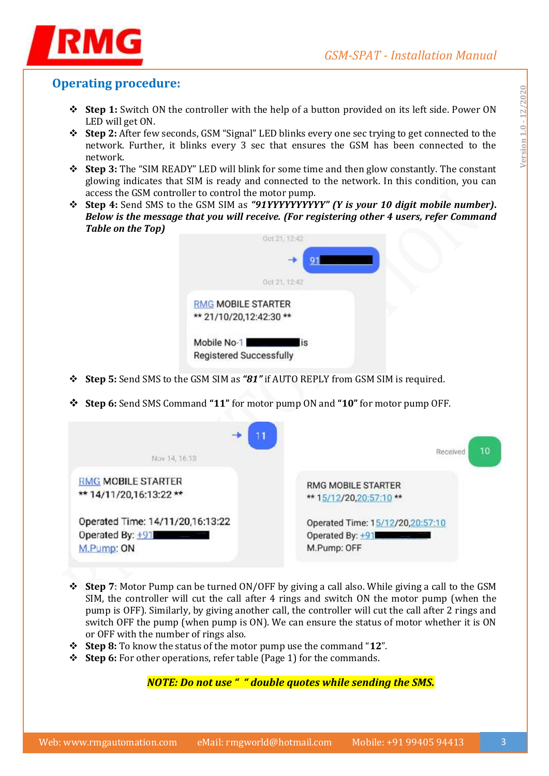



# **Operating procedure:**

- **Step 1:** Switch ON the controller with the help of a button provided on its left side. Power ON LED will get ON.
- **Step 2:** After few seconds, GSM "Signal" LED blinks every one sec trying to get connected to the network. Further, it blinks every 3 sec that ensures the GSM has been connected to the network.
- **Step 3:** The "SIM READY" LED will blink for some time and then glow constantly. The constant glowing indicates that SIM is ready and connected to the network. In this condition, you can access the GSM controller to control the motor pump.
- **Step 4:** Send SMS to the GSM SIM as *"91YYYYYYYYYY" (Y is your 10 digit mobile number)***.**  *Below is the message that you will receive. (For registering other 4 users, refer Command Table on the Top)*



- **Step 5:** Send SMS to the GSM SIM as *"81"* if AUTO REPLY from GSM SIM is required.
- **Step 6:** Send SMS Command **"11"** for motor pump ON and **"10"** for motor pump OFF.

| -<br>Nov 14, 16.13               | 10<br>Received                   |
|----------------------------------|----------------------------------|
|                                  |                                  |
| <b>RMG MOBILE STARTER</b>        | <b>RMG MOBILE STARTER</b>        |
| ** 14/11/20,16:13:22 **          | ** 15/12/20,20:57:10 **          |
| Operated Time: 14/11/20,16:13:22 | Operated Time: 15/12/20,20:57:10 |
| Operated By: $+91$               | Operated By: +91                 |
| M.Pump: ON                       | M.Pump: OFF                      |

- **Step 7**: Motor Pump can be turned ON/OFF by giving a call also. While giving a call to the GSM SIM, the controller will cut the call after 4 rings and switch ON the motor pump (when the pump is OFF). Similarly, by giving another call, the controller will cut the call after 2 rings and switch OFF the pump (when pump is ON). We can ensure the status of motor whether it is ON or OFF with the number of rings also.
- **Step 8:** To know the status of the motor pump use the command "**12**".
- **Step 6:** For other operations, refer table (Page 1) for the commands.

*NOTE: Do not use " " double quotes while sending the SMS.*